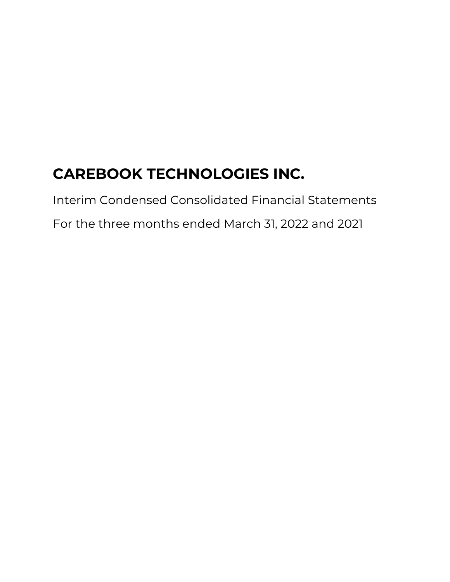Interim Condensed Consolidated Financial Statements

For the three months ended March 31, 2022 and 2021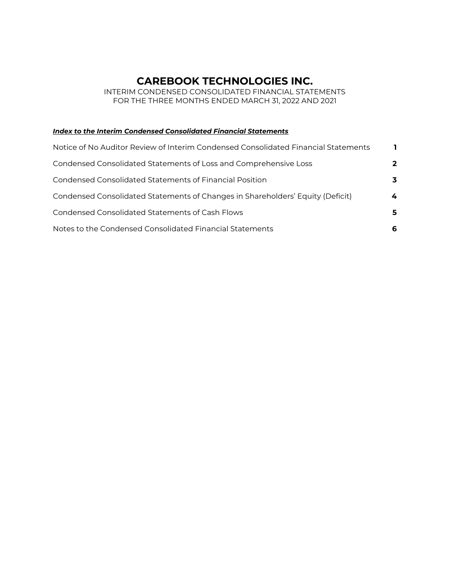INTERIM CONDENSED CONSOLIDATED FINANCIAL STATEMENTS FOR THE THREE MONTHS ENDED MARCH 31, 2022 AND 2021

### *Index to the Interim Condensed Consolidated Financial Statements*

| Notice of No Auditor Review of Interim Condensed Consolidated Financial Statements |   |
|------------------------------------------------------------------------------------|---|
| Condensed Consolidated Statements of Loss and Comprehensive Loss                   | 2 |
| Condensed Consolidated Statements of Financial Position                            | 3 |
| Condensed Consolidated Statements of Changes in Shareholders' Equity (Deficit)     | 4 |
| Condensed Consolidated Statements of Cash Flows                                    | 5 |
| Notes to the Condensed Consolidated Financial Statements                           | 6 |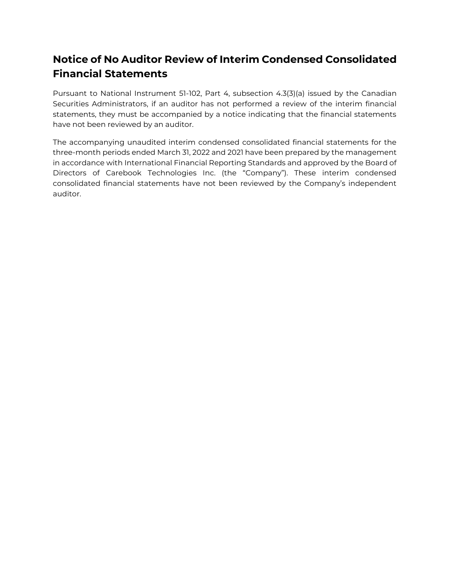# **Notice of No Auditor Review of Interim Condensed Consolidated Financial Statements**

Pursuant to National Instrument 51-102, Part 4, subsection 4.3(3)(a) issued by the Canadian Securities Administrators, if an auditor has not performed a review of the interim financial statements, they must be accompanied by a notice indicating that the financial statements have not been reviewed by an auditor.

The accompanying unaudited interim condensed consolidated financial statements for the three-month periods ended March 31, 2022 and 2021 have been prepared by the management in accordance with International Financial Reporting Standards and approved by the Board of Directors of Carebook Technologies Inc. (the "Company"). These interim condensed consolidated financial statements have not been reviewed by the Company's independent auditor.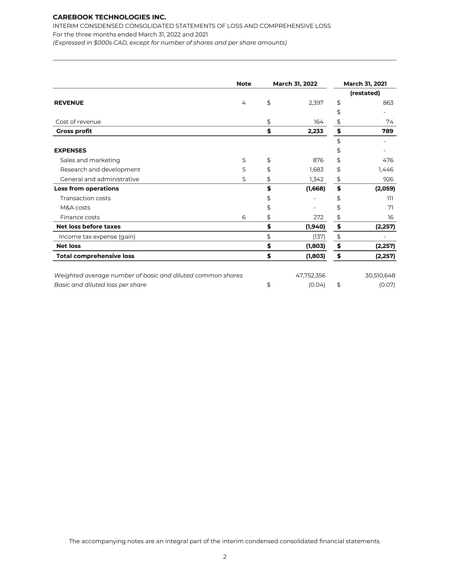INTERIM CONSDENSED CONSOLIDATED STATEMENTS OF LOSS AND COMPREHENSIVE LOSS For the three months ended March 31, 2022 and 2021 *(Expressed in \$000s CAD, except for number of shares and per share amounts)*

| <b>Note</b>                                                |   |    | March 31, 2022 | March 31, 2021 |            |  |
|------------------------------------------------------------|---|----|----------------|----------------|------------|--|
|                                                            |   |    |                |                | (restated) |  |
| <b>REVENUE</b>                                             | 4 | \$ | 2,397          | \$             | 863        |  |
|                                                            |   |    |                | \$             |            |  |
| Cost of revenue                                            |   | \$ | 164            | \$             | 74         |  |
| <b>Gross profit</b>                                        |   | \$ | 2,233          | \$             | 789        |  |
|                                                            |   |    |                | \$             |            |  |
| <b>EXPENSES</b>                                            |   |    |                | \$             |            |  |
| Sales and marketing                                        | 5 | \$ | 876            | \$             | 476        |  |
| Research and development                                   | 5 | \$ | 1,683          | \$             | 1,446      |  |
| General and administrative                                 | 5 | \$ | 1,342          | \$             | 926        |  |
| <b>Loss from operations</b>                                |   | \$ | (1,668)        | \$             | (2,059)    |  |
| <b>Transaction costs</b>                                   |   | \$ |                | \$             | ווו        |  |
| M&A costs                                                  |   | S  |                | \$             | 71         |  |
| Finance costs                                              | 6 | \$ | 272            | \$             | 16         |  |
| Net loss before taxes                                      |   | \$ | (1,940)        | \$             | (2, 257)   |  |
| Income tax expense (gain)                                  |   | \$ | (137)          | \$             |            |  |
| <b>Net loss</b>                                            |   | \$ | (1,803)        | \$             | (2, 257)   |  |
| <b>Total comprehensive loss</b>                            |   | \$ | (1,803)        | \$             | (2, 257)   |  |
| Weighted average number of basic and diluted common shares |   |    | 47,752,356     |                | 30,510,648 |  |
| Basic and diluted loss per share                           |   | \$ | (0.04)         | \$             | (0.07)     |  |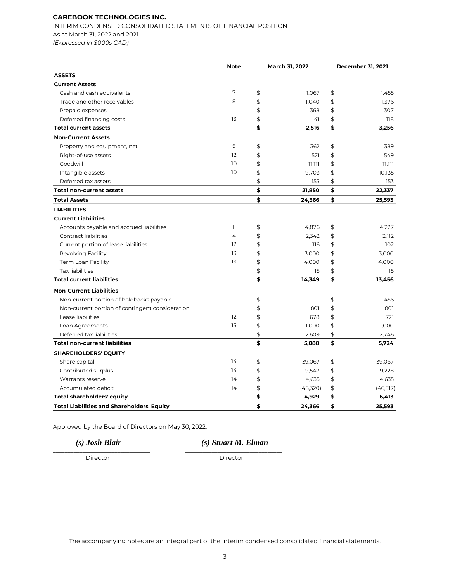INTERIM CONDENSED CONSOLIDATED STATEMENTS OF FINANCIAL POSITION As at March 31, 2022 and 2021 *(Expressed in \$000s CAD)*

|                                                   | <b>Note</b>       | March 31, 2022 |    | <b>December 31, 2021</b> |
|---------------------------------------------------|-------------------|----------------|----|--------------------------|
| <b>ASSETS</b>                                     |                   |                |    |                          |
| <b>Current Assets</b>                             |                   |                |    |                          |
| Cash and cash equivalents                         | 7                 | \$<br>1,067    | \$ | 1,455                    |
| Trade and other receivables                       | 8                 | \$<br>1,040    | \$ | 1,376                    |
| Prepaid expenses                                  |                   | \$<br>368      | \$ | 307                      |
| Deferred financing costs                          | 13                | \$<br>41       | \$ | 118                      |
| <b>Total current assets</b>                       |                   | \$<br>2,516    | \$ | 3,256                    |
| <b>Non-Current Assets</b>                         |                   |                |    |                          |
| Property and equipment, net                       | 9                 | \$<br>362      | \$ | 389                      |
| Right-of-use assets                               | 12                | \$<br>521      | \$ | 549                      |
| Goodwill                                          | 10                | \$<br>11,111   | \$ | 11,111                   |
| Intangible assets                                 | 10                | \$<br>9,703    | \$ | 10,135                   |
| Deferred tax assets                               |                   | \$<br>153      | \$ | 153                      |
| <b>Total non-current assets</b>                   |                   | \$<br>21,850   | \$ | 22,337                   |
| <b>Total Assets</b>                               |                   | \$<br>24,366   | \$ | 25,593                   |
| <b>LIABILITIES</b>                                |                   |                |    |                          |
| <b>Current Liabilities</b>                        |                   |                |    |                          |
| Accounts payable and accrued liabilities          | 11                | \$<br>4,876    | \$ | 4,227                    |
| Contract liabilities                              | 4                 | \$<br>2,342    | \$ | 2,112                    |
| Current portion of lease liabilities              | 12                | \$<br>116      | \$ | 102                      |
| Revolving Facility                                | 13                | \$<br>3,000    | \$ | 3,000                    |
| Term Loan Facility                                | 13                | \$<br>4,000    | \$ | 4,000                    |
| <b>Tax liabilities</b>                            |                   | \$<br>15       | \$ | 15                       |
| <b>Total current liabilities</b>                  |                   | \$<br>14,349   | \$ | 13,456                   |
| <b>Non-Current Liabilities</b>                    |                   |                |    |                          |
| Non-current portion of holdbacks payable          |                   | \$             | \$ | 456                      |
| Non-current portion of contingent consideration   |                   | \$<br>801      | \$ | 801                      |
| Lease liabilities                                 | $12 \overline{ }$ | \$<br>678      | \$ | 721                      |
| Loan Agreements                                   | 13                | \$<br>1,000    | \$ | 1,000                    |
| Deferred tax liabilities                          |                   | \$<br>2,609    | \$ | 2,746                    |
| <b>Total non-current liabilities</b>              |                   | \$<br>5,088    | \$ | 5,724                    |
| <b>SHAREHOLDERS' EQUITY</b>                       |                   |                |    |                          |
| Share capital                                     | 14                | \$<br>39,067   | \$ | 39,067                   |
| Contributed surplus                               | 14                | \$<br>9,547    | \$ | 9,228                    |
| Warrants reserve                                  | 14                | \$<br>4,635    | \$ | 4,635                    |
| Accumulated deficit                               | 14                | \$<br>(48,320) | \$ | (46, 517)                |
| <b>Total shareholders' equity</b>                 |                   | \$<br>4,929    | \$ | 6,413                    |
| <b>Total Liabilities and Shareholders' Equity</b> |                   | \$<br>24,366   | \$ | 25,593                   |

Approved by the Board of Directors on May 30, 2022:

\_\_\_\_\_\_\_\_\_\_\_\_\_\_\_\_\_\_\_\_\_\_\_\_\_\_\_\_\_\_\_\_\_ \_\_\_\_\_\_\_\_\_\_\_\_\_\_\_\_\_\_\_\_\_\_\_\_\_\_\_\_\_\_\_\_\_

*(s) Josh Blair (s) Stuart M. Elman*

Director Director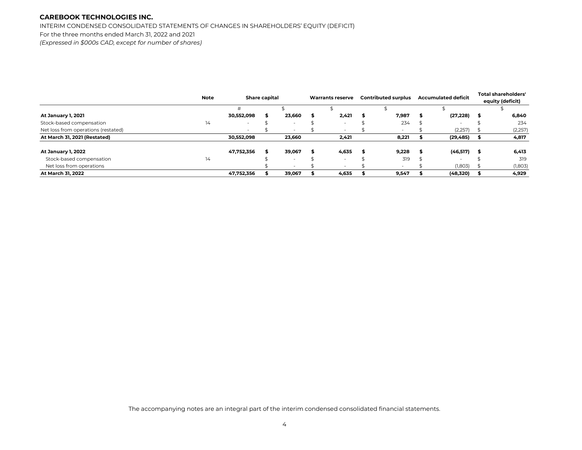INTERIM CONDENSED CONSOLIDATED STATEMENTS OF CHANGES IN SHAREHOLDERS' EQUITY (DEFICIT) For the three months ended March 31, 2022 and 2021 *(Expressed in \$000s CAD, except for number of shares)*

|                                     | <b>Note</b> |            | <b>Share capital</b> |                          |   | <b>Warrants reserve</b>  |      | <b>Contributed surplus</b> |   | <b>Accumulated deficit</b> | Total shareholders' |
|-------------------------------------|-------------|------------|----------------------|--------------------------|---|--------------------------|------|----------------------------|---|----------------------------|---------------------|
|                                     |             |            |                      |                          |   |                          |      |                            |   |                            | equity (deficit)    |
|                                     |             | #          |                      |                          |   |                          |      |                            |   |                            |                     |
| <b>At January 1, 2021</b>           |             | 30,552,098 |                      | 23,660                   | S | 2,421                    | - 55 | 7,987                      | я | (27, 228)                  | 6,840               |
| Stock-based compensation            | 14          |            |                      |                          |   | $\sim$                   |      | 234                        |   |                            | 234                 |
| Net loss from operations (restated) |             |            |                      |                          |   |                          |      | $\overline{\phantom{a}}$   |   | (2,257)                    | (2,257)             |
| At March 31, 2021 (Restated)        |             | 30,552,098 |                      | 23,660                   |   | 2,421                    |      | 8,221                      |   | (29, 485)                  | 4,817               |
| <b>At January 1, 2022</b>           |             | 47,752,356 |                      | 39,067                   |   | 4,635                    |      | 9,228                      | Я | (46,517)                   | 6,413               |
| Stock-based compensation            | 14          |            |                      |                          |   | $\sim$                   |      | 319                        |   |                            | 319                 |
| Net loss from operations            |             |            |                      | $\overline{\phantom{a}}$ |   | $\overline{\phantom{0}}$ |      | $\sim$                     |   | (1,803)                    | (1,803)             |
| At March 31, 2022                   |             | 47,752,356 |                      | 39,067                   |   | 4,635                    |      | 9,547                      |   | (48,320)                   | 4,929               |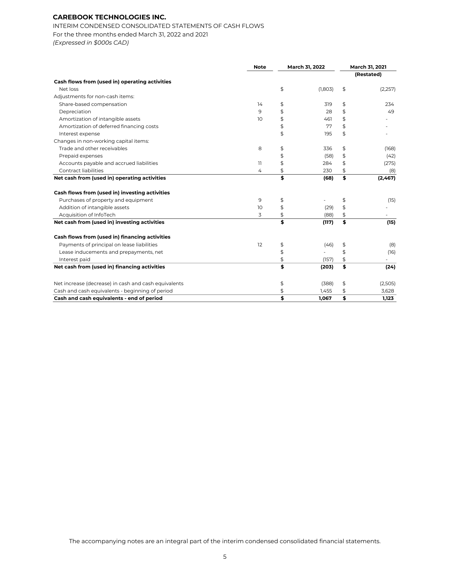INTERIM CONDENSED CONSOLIDATED STATEMENTS OF CASH FLOWS For the three months ended March 31, 2022 and 2021 *(Expressed in \$000s CAD)*

|                                                      | <b>Note</b>    | March 31, 2022 |                          | March 31, 2021 |            |  |
|------------------------------------------------------|----------------|----------------|--------------------------|----------------|------------|--|
|                                                      |                |                |                          |                | (Restated) |  |
| Cash flows from (used in) operating activities       |                |                |                          |                |            |  |
| Net loss                                             |                | \$             | (1,803)                  | \$             | (2,257)    |  |
| Adjustments for non-cash items:                      |                |                |                          |                |            |  |
| Share-based compensation                             | 14             | \$             | 319                      | \$             | 234        |  |
| Depreciation                                         | 9              | \$             | 28                       | \$             | 49         |  |
| Amortization of intangible assets                    | 10             | \$             | 461                      | \$             |            |  |
| Amortization of deferred financing costs             |                | \$             | 77                       | \$             |            |  |
| Interest expense                                     |                | \$             | 195                      | \$             |            |  |
| Changes in non-working capital items:                |                |                |                          |                |            |  |
| Trade and other receivables                          | 8              | \$             | 336                      | \$             | (168)      |  |
| Prepaid expenses                                     |                | \$             | (58)                     | \$             | (42)       |  |
| Accounts payable and accrued liabilities             | $\overline{1}$ | \$             | 284                      | \$             | (275)      |  |
| Contract liabilities                                 | 4              | \$             | 230                      | \$             | (8)        |  |
| Net cash from (used in) operating activities         |                | \$             | (68)                     | \$             | (2,467)    |  |
| Cash flows from (used in) investing activities       |                |                |                          |                |            |  |
| Purchases of property and equipment                  | 9              | \$             |                          | \$             | (15)       |  |
| Addition of intangible assets                        | 10             | \$             | (29)                     | \$             |            |  |
| Acquisition of InfoTech                              | 3              | \$             | (88)                     | \$             |            |  |
| Net cash from (used in) investing activities         |                | Ś              | (117)                    | \$             | (15)       |  |
| Cash flows from (used in) financing activities       |                |                |                          |                |            |  |
| Payments of principal on lease liabilities           | 12             | \$             | (46)                     | \$             | (8)        |  |
| Lease inducements and prepayments, net               |                | \$             | $\overline{\phantom{0}}$ | \$             | (16)       |  |
| Interest paid                                        |                | \$             | (157)                    | \$             |            |  |
| Net cash from (used in) financing activities         |                | \$             | (203)                    | \$             | (24)       |  |
| Net increase (decrease) in cash and cash equivalents |                | \$             | (388)                    | \$             | (2,505)    |  |
| Cash and cash equivalents - beginning of period      |                | \$             | 1,455                    | \$             | 3,628      |  |
| Cash and cash equivalents - end of period            |                | \$             | 1,067                    | \$             | 1.123      |  |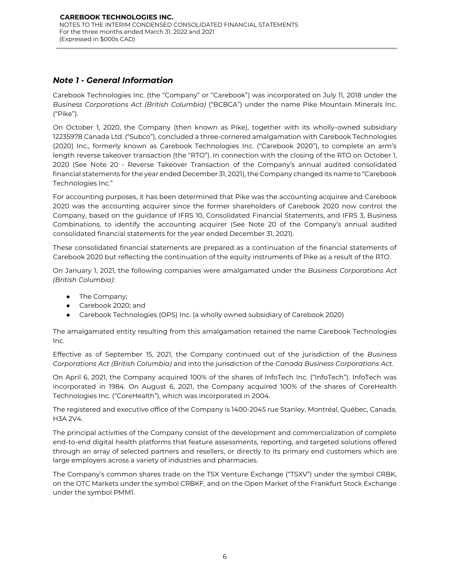# <span id="page-7-0"></span>*Note 1 - General Information*

Carebook Technologies Inc. (the "Company" or "Carebook") was incorporated on July 11, 2018 under the *Business Corporations Act (British Columbia)* ("BCBCA") under the name Pike Mountain Minerals Inc. ("Pike").

On October 1, 2020, the Company (then known as Pike), together with its wholly-owned subsidiary 12235978 Canada Ltd. ("Subco"), concluded a three-cornered amalgamation with Carebook Technologies (2020) Inc., formerly known as Carebook Technologies Inc. ("Carebook 2020"), to complete an arm's length reverse takeover transaction (the "RTO"). In connection with the closing of the RTO on October 1, 2020 (See Note 20 - Reverse Takeover Transaction of the Company's annual audited consolidated financial statements for the year ended December 31, 2021), the Company changed its name to "Carebook Technologies Inc."

For accounting purposes, it has been determined that Pike was the accounting acquiree and Carebook 2020 was the accounting acquirer since the former shareholders of Carebook 2020 now control the Company, based on the guidance of IFRS 10, Consolidated Financial Statements, and IFRS 3, Business Combinations, to identify the accounting acquirer (See Note 20 of the Company's annual audited consolidated financial statements for the year ended December 31, 2021).

These consolidated financial statements are prepared as a continuation of the financial statements of Carebook 2020 but reflecting the continuation of the equity instruments of Pike as a result of the RTO.

On January 1, 2021, the following companies were amalgamated under the *Business Corporations Act (British Columbia)*:

- The Company;
- Carebook 2020; and
- Carebook Technologies (OPS) Inc. (a wholly owned subsidiary of Carebook 2020)

The amalgamated entity resulting from this amalgamation retained the name Carebook Technologies Inc.

Effective as of September 15, 2021, the Company continued out of the jurisdiction of the *Business Corporations Act (British Columbia)* and into the jurisdiction of the *Canada Business Corporations Act*.

On April 6, 2021, the Company acquired 100% of the shares of InfoTech Inc. ("InfoTech"). InfoTech was incorporated in 1984. On August 6, 2021, the Company acquired 100% of the shares of CoreHealth Technologies Inc. ("CoreHealth"), which was incorporated in 2004.

The registered and executive office of the Company is 1400-2045 rue Stanley, Montréal, Québec, Canada, H3A 2V4.

The principal activities of the Company consist of the development and commercialization of complete end-to-end digital health platforms that feature assessments, reporting, and targeted solutions offered through an array of selected partners and resellers, or directly to its primary end customers which are large employers across a variety of industries and pharmacies.

The Company's common shares trade on the TSX Venture Exchange ("TSXV") under the symbol CRBK, on the OTC Markets under the symbol CRBKF, and on the Open Market of the Frankfurt Stock Exchange under the symbol PMM1.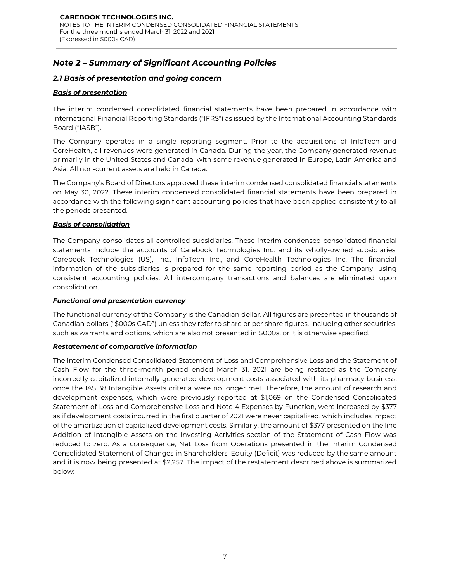# *Note 2 – Summary of Significant Accounting Policies*

### *2.1 Basis of presentation and going concern*

### *Basis of presentation*

The interim condensed consolidated financial statements have been prepared in accordance with International Financial Reporting Standards ("IFRS") as issued by the International Accounting Standards Board ("IASB").

The Company operates in a single reporting segment. Prior to the acquisitions of InfoTech and CoreHealth, all revenues were generated in Canada. During the year, the Company generated revenue primarily in the United States and Canada, with some revenue generated in Europe, Latin America and Asia. All non-current assets are held in Canada.

The Company's Board of Directors approved these interim condensed consolidated financial statements on May 30, 2022. These interim condensed consolidated financial statements have been prepared in accordance with the following significant accounting policies that have been applied consistently to all the periods presented.

### *Basis of consolidation*

The Company consolidates all controlled subsidiaries. These interim condensed consolidated financial statements include the accounts of Carebook Technologies Inc. and its wholly-owned subsidiaries, Carebook Technologies (US), Inc., InfoTech Inc., and CoreHealth Technologies Inc. The financial information of the subsidiaries is prepared for the same reporting period as the Company, using consistent accounting policies. All intercompany transactions and balances are eliminated upon consolidation.

### *Functional and presentation currency*

The functional currency of the Company is the Canadian dollar. All figures are presented in thousands of Canadian dollars ("\$000s CAD") unless they refer to share or per share figures, including other securities, such as warrants and options, which are also not presented in \$000s, or it is otherwise specified.

### *Restatement of comparative information*

The interim Condensed Consolidated Statement of Loss and Comprehensive Loss and the Statement of Cash Flow for the three-month period ended March 31, 2021 are being restated as the Company incorrectly capitalized internally generated development costs associated with its pharmacy business, once the IAS 38 Intangible Assets criteria were no longer met. Therefore, the amount of research and development expenses, which were previously reported at \$1,069 on the Condensed Consolidated Statement of Loss and Comprehensive Loss and Note 4 Expenses by Function, were increased by \$377 as if development costs incurred in the first quarter of 2021 were never capitalized, which includes impact of the amortization of capitalized development costs. Similarly, the amount of \$377 presented on the line Addition of Intangible Assets on the Investing Activities section of the Statement of Cash Flow was reduced to zero. As a consequence, Net Loss from Operations presented in the Interim Condensed Consolidated Statement of Changes in Shareholders' Equity (Deficit) was reduced by the same amount and it is now being presented at \$2,257. The impact of the restatement described above is summarized below: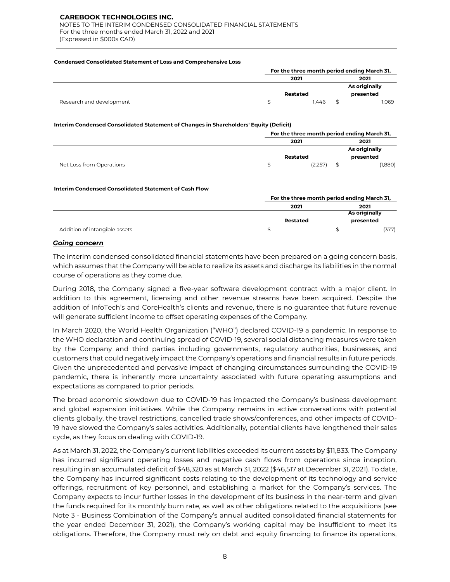NOTES TO THE INTERIM CONDENSED CONSOLIDATED FINANCIAL STATEMENTS For the three months ended March 31, 2022 and 2021 (Expressed in \$000s CAD)

#### **Condensed Consolidated Statement of Loss and Comprehensive Loss**

|                          |          | For the three month period ending March 31, |  |               |  |  |
|--------------------------|----------|---------------------------------------------|--|---------------|--|--|
|                          | 2021     |                                             |  | 2021          |  |  |
|                          |          |                                             |  | As originally |  |  |
|                          | Restated |                                             |  | presented     |  |  |
| Research and development |          | 1.446                                       |  | 1.069         |  |  |

#### **Interim Condensed Consolidated Statement of Changes in Shareholders' Equity (Deficit)**

|                          |          | For the three month period ending March 31, |  |               |  |  |
|--------------------------|----------|---------------------------------------------|--|---------------|--|--|
|                          | 2021     |                                             |  | 2021          |  |  |
|                          |          |                                             |  | As originally |  |  |
|                          | Restated |                                             |  | presented     |  |  |
| Net Loss from Operations |          | (2,257)                                     |  | (1,880)       |  |  |

#### **Interim Condensed Consolidated Statement of Cash Flow**

|                               |          | For the three month period ending March 31, |  |               |  |      |
|-------------------------------|----------|---------------------------------------------|--|---------------|--|------|
|                               |          | 2021                                        |  |               |  | 2021 |
|                               |          |                                             |  | As originally |  |      |
|                               | Restated |                                             |  | presented     |  |      |
| Addition of intangible assets |          | ٠                                           |  | (377)         |  |      |

### *Going concern*

The interim condensed consolidated financial statements have been prepared on a going concern basis, which assumes that the Company will be able to realize its assets and discharge its liabilities in the normal course of operations as they come due.

During 2018, the Company signed a five-year software development contract with a major client. In addition to this agreement, licensing and other revenue streams have been acquired. Despite the addition of InfoTech's and CoreHealth's clients and revenue, there is no guarantee that future revenue will generate sufficient income to offset operating expenses of the Company.

In March 2020, the World Health Organization ("WHO") declared COVID-19 a pandemic. In response to the WHO declaration and continuing spread of COVID-19, several social distancing measures were taken by the Company and third parties including governments, regulatory authorities, businesses, and customers that could negatively impact the Company's operations and financial results in future periods. Given the unprecedented and pervasive impact of changing circumstances surrounding the COVID-19 pandemic, there is inherently more uncertainty associated with future operating assumptions and expectations as compared to prior periods.

The broad economic slowdown due to COVID-19 has impacted the Company's business development and global expansion initiatives. While the Company remains in active conversations with potential clients globally, the travel restrictions, cancelled trade shows/conferences, and other impacts of COVID-19 have slowed the Company's sales activities. Additionally, potential clients have lengthened their sales cycle, as they focus on dealing with COVID-19.

As at March 31, 2022, the Company's current liabilities exceeded its current assets by \$11,833. The Company has incurred significant operating losses and negative cash flows from operations since inception, resulting in an accumulated deficit of \$48,320 as at March 31, 2022 (\$46,517 at December 31, 2021). To date, the Company has incurred significant costs relating to the development of its technology and service offerings, recruitment of key personnel, and establishing a market for the Company's services. The Company expects to incur further losses in the development of its business in the near-term and given the funds required for its monthly burn rate, as well as other obligations related to the acquisitions (see Note 3 - Business Combination of the Company's annual audited consolidated financial statements for the year ended December 31, 2021), the Company's working capital may be insufficient to meet its obligations. Therefore, the Company must rely on debt and equity financing to finance its operations,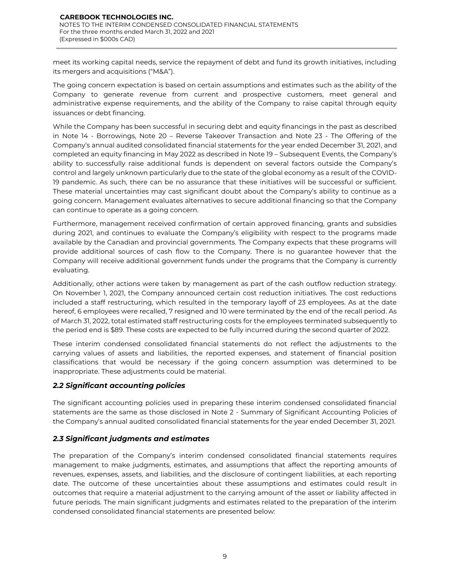meet its working capital needs, service the repayment of debt and fund its growth initiatives, including its mergers and acquisitions ("M&A").

The going concern expectation is based on certain assumptions and estimates such as the ability of the Company to generate revenue from current and prospective customers, meet general and administrative expense requirements, and the ability of the Company to raise capital through equity issuances or debt financing.

While the Company has been successful in securing debt and equity financings in the past as described in Note 14 - Borrowings, Note 20 – Reverse Takeover Transaction and Note 23 - The Offering of the Company's annual audited consolidated financial statements for the year ended December 31, 2021, and completed an equity financing in May 2022 as described in Note 19 – Subsequent Events, the Company's ability to successfully raise additional funds is dependent on several factors outside the Company's control and largely unknown particularly due to the state of the global economy as a result of the COVID-19 pandemic. As such, there can be no assurance that these initiatives will be successful or sufficient. These material uncertainties may cast significant doubt about the Company's ability to continue as a going concern. Management evaluates alternatives to secure additional financing so that the Company can continue to operate as a going concern.

Furthermore, management received confirmation of certain approved financing, grants and subsidies during 2021, and continues to evaluate the Company's eligibility with respect to the programs made available by the Canadian and provincial governments. The Company expects that these programs will provide additional sources of cash flow to the Company. There is no guarantee however that the Company will receive additional government funds under the programs that the Company is currently evaluating.

Additionally, other actions were taken by management as part of the cash outflow reduction strategy. On November 1, 2021, the Company announced certain cost reduction initiatives. The cost reductions included a staff restructuring, which resulted in the temporary layoff of 23 employees. As at the date hereof, 6 employees were recalled, 7 resigned and 10 were terminated by the end of the recall period. As of March 31, 2022, total estimated staff restructuring costs for the employees terminated subsequently to the period end is \$89. These costs are expected to be fully incurred during the second quarter of 2022.

These interim condensed consolidated financial statements do not reflect the adjustments to the carrying values of assets and liabilities, the reported expenses, and statement of financial position classifications that would be necessary if the going concern assumption was determined to be inappropriate. These adjustments could be material.

# *2.2 Significant accounting policies*

The significant accounting policies used in preparing these interim condensed consolidated financial statements are the same as those disclosed in Note 2 - Summary of Significant Accounting Policies of the Company's annual audited consolidated financial statements for the year ended December 31, 2021.

# *2.3 Significant judgments and estimates*

The preparation of the Company's interim condensed consolidated financial statements requires management to make judgments, estimates, and assumptions that affect the reporting amounts of revenues, expenses, assets, and liabilities, and the disclosure of contingent liabilities, at each reporting date. The outcome of these uncertainties about these assumptions and estimates could result in outcomes that require a material adjustment to the carrying amount of the asset or liability affected in future periods. The main significant judgments and estimates related to the preparation of the interim condensed consolidated financial statements are presented below: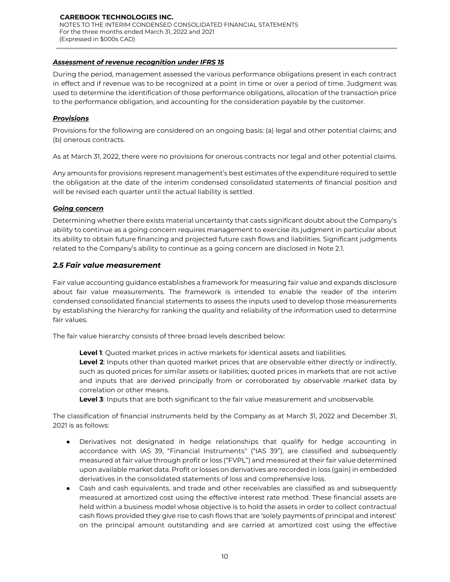### **CAREBOOK TECHNOLOGIES INC.** NOTES TO THE INTERIM CONDENSED CONSOLIDATED FINANCIAL STATEMENTS For the three months ended March 31, 2022 and 2021 (Expressed in \$000s CAD)

### *Assessment of revenue recognition under IFRS 15*

During the period, management assessed the various performance obligations present in each contract in effect and if revenue was to be recognized at a point in time or over a period of time. Judgment was used to determine the identification of those performance obligations, allocation of the transaction price to the performance obligation, and accounting for the consideration payable by the customer.

### *Provisions*

Provisions for the following are considered on an ongoing basis: (a) legal and other potential claims; and (b) onerous contracts.

As at March 31, 2022, there were no provisions for onerous contracts nor legal and other potential claims.

Any amounts for provisions represent management's best estimates of the expenditure required to settle the obligation at the date of the interim condensed consolidated statements of financial position and will be revised each quarter until the actual liability is settled.

### *Going concern*

Determining whether there exists material uncertainty that casts significant doubt about the Company's ability to continue as a going concern requires management to exercise its judgment in particular about its ability to obtain future financing and projected future cash flows and liabilities. Significant judgments related to the Company's ability to continue as a going concern are disclosed in Note 2.1.

### *2.5 Fair value measurement*

Fair value accounting guidance establishes a framework for measuring fair value and expands disclosure about fair value measurements. The framework is intended to enable the reader of the interim condensed consolidated financial statements to assess the inputs used to develop those measurements by establishing the hierarchy for ranking the quality and reliability of the information used to determine fair values.

The fair value hierarchy consists of three broad levels described below:

**Level 1**: Quoted market prices in active markets for identical assets and liabilities.

**Level 2**: Inputs other than quoted market prices that are observable either directly or indirectly, such as quoted prices for similar assets or liabilities; quoted prices in markets that are not active and inputs that are derived principally from or corroborated by observable market data by correlation or other means.

**Level 3**: Inputs that are both significant to the fair value measurement and unobservable.

The classification of financial instruments held by the Company as at March 31, 2022 and December 31, 2021 is as follows:

- Derivatives not designated in hedge relationships that qualify for hedge accounting in accordance with IAS 39, "Financial Instruments'' ("IAS 39"), are classified and subsequently measured at fair value through profit or loss ("FVPL") and measured at their fair value determined upon available market data. Profit or losses on derivatives are recorded in loss (gain) in embedded derivatives in the consolidated statements of loss and comprehensive loss.
- Cash and cash equivalents, and trade and other receivables are classified as and subsequently measured at amortized cost using the effective interest rate method. These financial assets are held within a business model whose objective is to hold the assets in order to collect contractual cash flows provided they give rise to cash flows that are 'solely payments of principal and interest' on the principal amount outstanding and are carried at amortized cost using the effective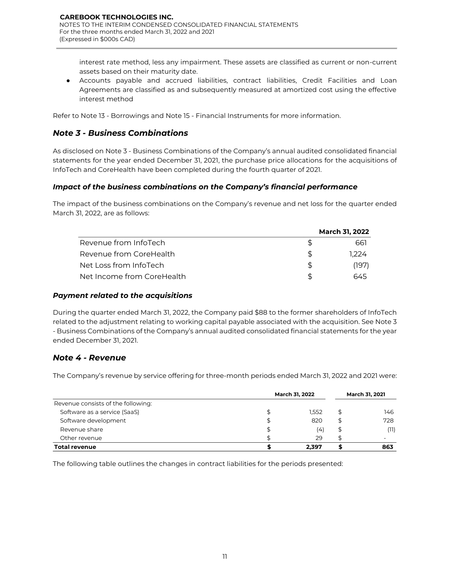interest rate method, less any impairment. These assets are classified as current or non-current assets based on their maturity date.

● Accounts payable and accrued liabilities, contract liabilities, Credit Facilities and Loan Agreements are classified as and subsequently measured at amortized cost using the effective interest method

Refer to Note 13 - Borrowings and Note 15 - Financial Instruments for more information.

# *Note 3 - Business Combinations*

As disclosed on Note 3 - Business Combinations of the Company's annual audited consolidated financial statements for the year ended December 31, 2021, the purchase price allocations for the acquisitions of InfoTech and CoreHealth have been completed during the fourth quarter of 2021.

### *Impact of the business combinations on the Company's financial performance*

The impact of the business combinations on the Company's revenue and net loss for the quarter ended March 31, 2022, are as follows:

|                            | <b>March 31, 2022</b> |
|----------------------------|-----------------------|
| Revenue from InfoTech      | 661                   |
| Revenue from CoreHealth    | 1.224                 |
| Net Loss from InfoTech     | (197)                 |
| Net Income from CoreHealth | 645                   |

### *Payment related to the acquisitions*

During the quarter ended March 31, 2022, the Company paid \$88 to the former shareholders of InfoTech related to the adjustment relating to working capital payable associated with the acquisition. See Note 3 - Business Combinations of the Company's annual audited consolidated financial statements for the year ended December 31, 2021.

# *Note 4 - Revenue*

The Company's revenue by service offering for three-month periods ended March 31, 2022 and 2021 were:

|                                    | March 31, 2022 | <b>March 31, 2021</b> |    |      |
|------------------------------------|----------------|-----------------------|----|------|
| Revenue consists of the following: |                |                       |    |      |
| Software as a service (SaaS)       |                | 1.552                 | \$ | 146  |
| Software development               |                | 820                   | \$ | 728  |
| Revenue share                      |                | (4)                   | \$ | (11) |
| Other revenue                      |                | 29                    |    |      |
| <b>Total revenue</b>               |                | 2.397                 |    | 863  |

The following table outlines the changes in contract liabilities for the periods presented: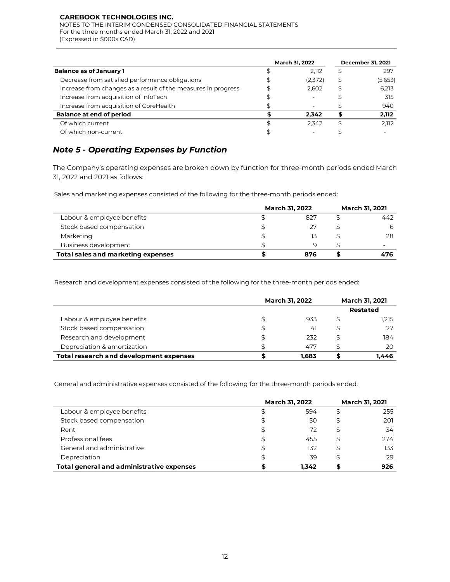NOTES TO THE INTERIM CONDENSED CONSOLIDATED FINANCIAL STATEMENTS For the three months ended March 31, 2022 and 2021 (Expressed in \$000s CAD)

|                                                               | <b>March 31, 2022</b> |                          |    | <b>December 31, 2021</b> |
|---------------------------------------------------------------|-----------------------|--------------------------|----|--------------------------|
| <b>Balance as of January 1</b>                                |                       | 2.112                    | \$ | 297                      |
| Decrease from satisfied performance obligations               |                       | (2,372)                  | \$ | (5,653)                  |
| Increase from changes as a result of the measures in progress |                       | 2.602                    | \$ | 6.213                    |
| Increase from acquisition of InfoTech                         |                       |                          |    | 315                      |
| Increase from acquisition of CoreHealth                       |                       | $\overline{\phantom{a}}$ |    | 940                      |
| <b>Balance at end of period</b>                               |                       | 2.342                    |    | 2,112                    |
| Of which current                                              |                       | 2.342                    | S  | 2.112                    |
| Of which non-current                                          |                       |                          |    |                          |

# *Note 5 - Operating Expenses by Function*

The Company's operating expenses are broken down by function for three-month periods ended March 31, 2022 and 2021 as follows:

Sales and marketing expenses consisted of the following for the three-month periods ended:

|                                    | <b>March 31, 2022</b> | <b>March 31, 2021</b> |  |     |
|------------------------------------|-----------------------|-----------------------|--|-----|
| Labour & employee benefits         |                       | 827                   |  | 442 |
| Stock based compensation           |                       | 27                    |  |     |
| Marketing                          |                       | 13                    |  | 28  |
| Business development               |                       | q                     |  | -   |
| Total sales and marketing expenses |                       | 876                   |  | 476 |

Research and development expenses consisted of the following for the three-month periods ended:

|                                         | <b>March 31, 2022</b> | <b>March 31, 2021</b> |                 |
|-----------------------------------------|-----------------------|-----------------------|-----------------|
|                                         |                       |                       | <b>Restated</b> |
| Labour & employee benefits              |                       | 933                   | \$<br>1,215     |
| Stock based compensation                | \$                    | 41                    | \$<br>27        |
| Research and development                | \$                    | 232                   | \$<br>184       |
| Depreciation & amortization             |                       | 477                   | 20              |
| Total research and development expenses |                       | 1.683                 | I.446           |

General and administrative expenses consisted of the following for the three-month periods ended:

|                                           | <b>March 31, 2022</b> | <b>March 31, 2021</b> |     |  |
|-------------------------------------------|-----------------------|-----------------------|-----|--|
| Labour & employee benefits                | 594                   |                       | 255 |  |
| Stock based compensation                  | 50                    | S                     | 201 |  |
| Rent                                      | 72                    | \$                    | 34  |  |
| Professional fees                         | 455                   | \$                    | 274 |  |
| General and administrative                | 132                   | S                     | 133 |  |
| Depreciation                              | 39                    |                       | 29  |  |
| Total general and administrative expenses | 1.342                 |                       | 926 |  |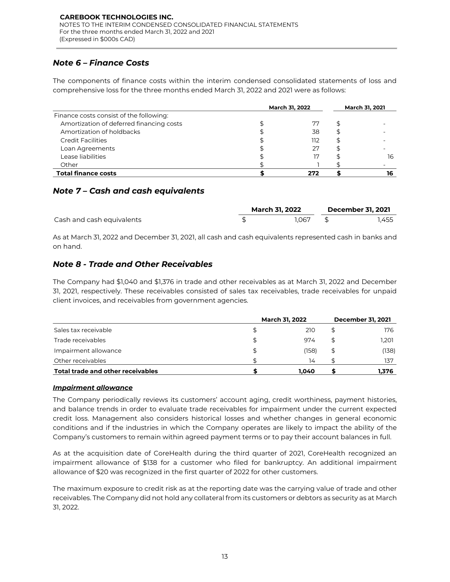# *Note 6 – Finance Costs*

The components of finance costs within the interim condensed consolidated statements of loss and comprehensive loss for the three months ended March 31, 2022 and 2021 were as follows:

|                                          | <b>March 31, 2022</b> | <b>March 31, 2021</b> |
|------------------------------------------|-----------------------|-----------------------|
| Finance costs consist of the following:  |                       |                       |
| Amortization of deferred financing costs | 77                    |                       |
| Amortization of holdbacks                | 38                    |                       |
| <b>Credit Facilities</b>                 | 112                   |                       |
| Loan Agreements                          | 27                    |                       |
| Lease liabilities                        |                       | 16                    |
| Other                                    |                       |                       |
| <b>Total finance costs</b>               | 272                   |                       |

# *Note 7 – Cash and cash equivalents*

|                           |  | <b>March 31, 2022</b> | <b>December 31, 2021</b> |       |  |
|---------------------------|--|-----------------------|--------------------------|-------|--|
| Cash and cash equivalents |  | 1.067                 |                          | 1.455 |  |

As at March 31, 2022 and December 31, 2021, all cash and cash equivalents represented cash in banks and on hand.

# *Note 8 - Trade and Other Receivables*

The Company had \$1,040 and \$1,376 in trade and other receivables as at March 31, 2022 and December 31, 2021, respectively. These receivables consisted of sales tax receivables, trade receivables for unpaid client invoices, and receivables from government agencies*.* 

|                                          |    | <b>March 31, 2022</b> | <b>December 31, 2021</b> |       |  |
|------------------------------------------|----|-----------------------|--------------------------|-------|--|
| Sales tax receivable                     | S  | 210                   |                          | 176   |  |
| Trade receivables                        | \$ | 974                   |                          | 1,201 |  |
| Impairment allowance                     | \$ | (158)                 |                          | (138) |  |
| Other receivables                        |    | 14                    |                          | 137   |  |
| <b>Total trade and other receivables</b> |    | 1,040                 |                          | 1.376 |  |

### *Impairment allowance*

The Company periodically reviews its customers' account aging, credit worthiness, payment histories, and balance trends in order to evaluate trade receivables for impairment under the current expected credit loss. Management also considers historical losses and whether changes in general economic conditions and if the industries in which the Company operates are likely to impact the ability of the Company's customers to remain within agreed payment terms or to pay their account balances in full.

As at the acquisition date of CoreHealth during the third quarter of 2021, CoreHealth recognized an impairment allowance of \$138 for a customer who filed for bankruptcy. An additional impairment allowance of \$20 was recognized in the first quarter of 2022 for other customers.

The maximum exposure to credit risk as at the reporting date was the carrying value of trade and other receivables. The Company did not hold any collateral from its customers or debtors as security as at March 31, 2022.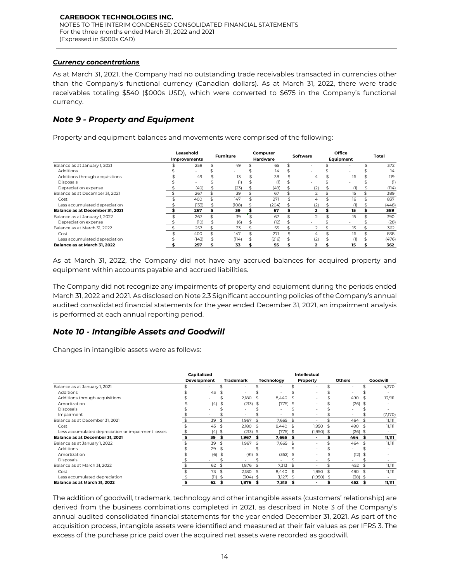### *Currency concentrations*

As at March 31, 2021, the Company had no outstanding trade receivables transacted in currencies other than the Company's functional currency (Canadian dollars). As at March 31, 2022, there were trade receivables totaling \$540 (\$000s USD), which were converted to \$675 in the Company's functional currency.

# *Note 9 - Property and Equipment*

Property and equipment balances and movements were comprised of the following:

|                                 | Leasehold<br>Improvements | <b>Furniture</b> | Computer<br><b>Hardware</b> | Software                 | Office<br>Equipment | Total |
|---------------------------------|---------------------------|------------------|-----------------------------|--------------------------|---------------------|-------|
| Balance as at January 1, 2021   | 258                       | 49               | 65                          |                          |                     | 372   |
| Additions                       |                           |                  | 14                          |                          |                     | 14    |
| Additions through acquisitions  | 49                        | 13               | 38                          | 4                        | 16                  | 119   |
| Disposals                       |                           | (1               |                             |                          |                     | (1)   |
| Depreciation expense            | (40)                      | (23)             | (49)                        | (2)                      |                     | (114) |
| Balance as at December 31, 2021 | 267                       | 39               | 67                          |                          | 15                  | 389   |
| Cost                            | 400                       | 147              | 271                         | 4                        | 16                  | 837   |
| Less accumulated depreciation   | (133)                     | (108)            | (204)                       | (2)                      | (1)                 | (448) |
| Balance as at December 31, 2021 | 267                       | 39               | 67                          | $\overline{\phantom{a}}$ | 15                  | 389   |
| Balance as at January 1, 2022   | 267                       | 39               | 67                          |                          | 15                  | 390   |
| Depreciation expense            | (10)                      | (6)              | (12)                        |                          |                     | (28)  |
| Balance as at March 31, 2022    | 257                       | 33               | 55                          | $\mathcal{P}$            | 15                  | 362   |
| Cost                            | 400                       | 147              | 271                         | 4                        | 16                  | 838   |
| Less accumulated depreciation   | (143)                     | (114)            | (216)                       | (2)                      | (1)                 | (476) |
| Balance as at March 31, 2022    | 257                       | 33               | 55                          |                          | 15                  | 362   |

As at March 31, 2022, the Company did not have any accrued balances for acquired property and equipment within accounts payable and accrued liabilities.

The Company did not recognize any impairments of property and equipment during the periods ended March 31, 2022 and 2021. As disclosed on Note 2.3 Significant accounting policies of the Company's annual audited consolidated financial statements for the year ended December 31, 2021, an impairment analysis is performed at each annual reporting period.

# *Note 10 - Intangible Assets and Goodwill*

Changes in intangible assets were as follows:

|                                                    | Capitalized        |     |                  |      | Intellectual |     |              |    |               |                |          |
|----------------------------------------------------|--------------------|-----|------------------|------|--------------|-----|--------------|----|---------------|----------------|----------|
|                                                    | <b>Development</b> |     | <b>Trademark</b> |      | Technoloav   |     | Property     |    | <b>Others</b> |                | Goodwill |
| Balance as at January 1, 2021                      |                    |     |                  |      | ٠            |     |              |    |               |                | 4,370    |
| <b>Additions</b>                                   | 43                 |     |                  |      |              |     |              |    |               |                |          |
| Additions through acquisitions                     |                    |     | 2,180            | £.   | 8.440        |     |              |    | 490           |                | 13.911   |
| Amortization                                       | (4)                | \$  | (213)            | - \$ | $(775)$ \$   |     |              |    | (26)          | - 55           |          |
| Disposals                                          |                    |     |                  |      | ٠            |     |              |    |               |                |          |
| Impairment                                         |                    |     |                  |      |              |     |              |    |               |                | (7,170)  |
| Balance as at December 31, 2021                    | 39                 | \$  | 1,967            | \$   | 7,665        | \$  | ٠            |    | 464           |                | 11,111   |
| Cost                                               | 43                 | \$  | 2,180            | \$   | 8,440        |     | 1,950        | \$ | 490           | $\mathfrak{F}$ | 11,111   |
| Less accumulated depreciation or impairment losses | (4)                | -\$ | (213)            | - 5  | $(775)$ \$   |     | $(1,950)$ \$ |    | $(26)$ \$     |                |          |
| Balance as at December 31, 2021                    | 39                 | \$  | 1,967            | \$   | 7,665        | S   |              |    | 464           |                | 11,111   |
| Balance as at January 1, 2022                      | 39                 | \$  | 1,967            |      | 7,665        |     |              |    | 464           |                | 11,111   |
| <b>Additions</b>                                   | 29                 |     |                  |      |              |     |              |    |               |                |          |
| Amortization                                       | (6)                | \$  | (91)             | -\$  | (352)        |     |              |    | (12)          |                |          |
| <b>Disposals</b>                                   |                    |     |                  |      |              |     |              |    |               |                |          |
| Balance as at March 31, 2022                       | 62                 | \$  | 1,876            | \$   | 7,313        | \$  |              |    | 452           |                | 11,111   |
| Cost                                               | 73                 | \$  | 2,180            | \$   | 8.440        | -\$ | 1,950 \$     |    | 490           | \$             | 11.111   |
| Less accumulated depreciation                      | $(11)$ \$          |     | (304)            | -\$  | $(1,127)$ \$ |     | $(1,950)$ \$ |    | (38)          | - 5            |          |
| Balance as at March 31, 2022                       | 62                 | Я   | 1,876            | S    | 7,313        |     |              |    | 452           |                | 11,111   |

The addition of goodwill, trademark, technology and other intangible assets (customers' relationship) are derived from the business combinations completed in 2021, as described in Note 3 of the Company's annual audited consolidated financial statements for the year ended December 31, 2021. As part of the acquisition process, intangible assets were identified and measured at their fair values as per IFRS 3. The excess of the purchase price paid over the acquired net assets were recorded as goodwill.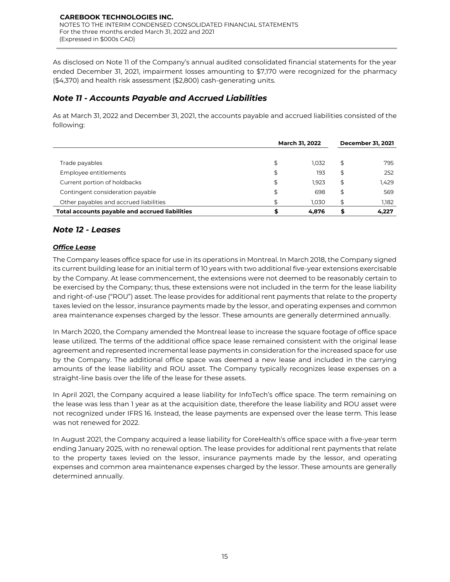As disclosed on Note 11 of the Company's annual audited consolidated financial statements for the year ended December 31, 2021, impairment losses amounting to \$7,170 were recognized for the pharmacy (\$4,370) and health risk assessment (\$2,800) cash-generating units.

# *Note 11 - Accounts Payable and Accrued Liabilities*

As at March 31, 2022 and December 31, 2021, the accounts payable and accrued liabilities consisted of the following:

|                                                |    | <b>March 31, 2022</b> | <b>December 31, 2021</b> |
|------------------------------------------------|----|-----------------------|--------------------------|
| Trade payables                                 | \$ | 1.032                 | \$<br>795                |
| Employee entitlements                          | \$ | 193                   | \$<br>252                |
| Current portion of holdbacks                   | \$ | 1.923                 | \$<br>1,429              |
| Contingent consideration payable               | \$ | 698                   | \$<br>569                |
| Other payables and accrued liabilities         | \$ | 1.030                 | \$<br>1.182              |
| Total accounts payable and accrued liabilities | œ  | 4.876                 | 4,227                    |

# *Note 12 - Leases*

### *Office Lease*

The Company leases office space for use in its operations in Montreal. In March 2018, the Company signed its current building lease for an initial term of 10 years with two additional five-year extensions exercisable by the Company. At lease commencement, the extensions were not deemed to be reasonably certain to be exercised by the Company; thus, these extensions were not included in the term for the lease liability and right-of-use ("ROU") asset. The lease provides for additional rent payments that relate to the property taxes levied on the lessor, insurance payments made by the lessor, and operating expenses and common area maintenance expenses charged by the lessor. These amounts are generally determined annually.

In March 2020, the Company amended the Montreal lease to increase the square footage of office space lease utilized. The terms of the additional office space lease remained consistent with the original lease agreement and represented incremental lease payments in consideration for the increased space for use by the Company. The additional office space was deemed a new lease and included in the carrying amounts of the lease liability and ROU asset. The Company typically recognizes lease expenses on a straight-line basis over the life of the lease for these assets.

In April 2021, the Company acquired a lease liability for InfoTech's office space. The term remaining on the lease was less than 1 year as at the acquisition date, therefore the lease liability and ROU asset were not recognized under IFRS 16. Instead, the lease payments are expensed over the lease term. This lease was not renewed for 2022.

In August 2021, the Company acquired a lease liability for CoreHealth's office space with a five-year term ending January 2025, with no renewal option. The lease provides for additional rent payments that relate to the property taxes levied on the lessor, insurance payments made by the lessor, and operating expenses and common area maintenance expenses charged by the lessor. These amounts are generally determined annually.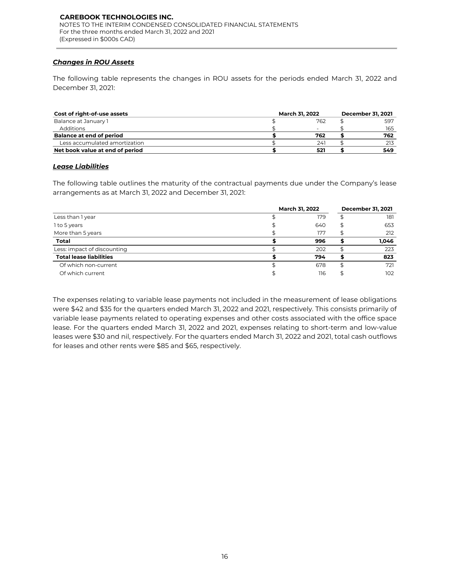### *Changes in ROU Assets*

The following table represents the changes in ROU assets for the periods ended March 31, 2022 and December 31, 2021:

| Cost of right-of-use assets     | <b>March 31, 2022</b> | <b>December 31, 2021</b> |     |  |  |  |
|---------------------------------|-----------------------|--------------------------|-----|--|--|--|
| Balance at January 1            | 762                   |                          | 597 |  |  |  |
| Additions                       |                       |                          | 165 |  |  |  |
| <b>Balance at end of period</b> | 762                   |                          | 762 |  |  |  |
| Less accumulated amortization   | 241                   |                          | 213 |  |  |  |
| Net book value at end of period | 521                   |                          | 549 |  |  |  |

### *Lease Liabilities*

The following table outlines the maturity of the contractual payments due under the Company's lease arrangements as at March 31, 2022 and December 31, 2021:

|                                | <b>March 31, 2022</b> | <b>December 31, 2021</b> |       |  |
|--------------------------------|-----------------------|--------------------------|-------|--|
| Less than 1 year               | 179                   |                          | 181   |  |
| 1 to 5 years                   | 640                   |                          | 653   |  |
| More than 5 years              | 177                   |                          | 212   |  |
| <b>Total</b>                   | 996                   |                          | 1,046 |  |
| Less: impact of discounting    | 202                   |                          | 223   |  |
| <b>Total lease liabilities</b> | 794                   |                          | 823   |  |
| Of which non-current           | 678                   |                          | 721   |  |
| Of which current               | 116                   |                          | 102   |  |

The expenses relating to variable lease payments not included in the measurement of lease obligations were \$42 and \$35 for the quarters ended March 31, 2022 and 2021, respectively. This consists primarily of variable lease payments related to operating expenses and other costs associated with the office space lease. For the quarters ended March 31, 2022 and 2021, expenses relating to short-term and low-value leases were \$30 and nil, respectively. For the quarters ended March 31, 2022 and 2021, total cash outflows for leases and other rents were \$85 and \$65, respectively.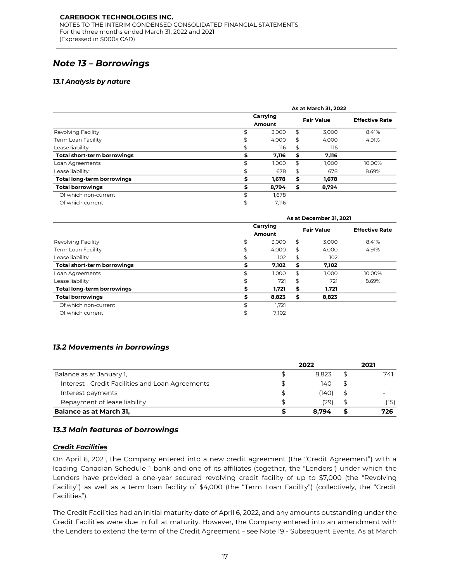# *Note 13 – Borrowings*

### *13.1 Analysis by nature*

|                                   |    | As at March 31, 2022 |    |                   |                       |  |  |  |
|-----------------------------------|----|----------------------|----|-------------------|-----------------------|--|--|--|
|                                   |    | Carrying<br>Amount   |    | <b>Fair Value</b> | <b>Effective Rate</b> |  |  |  |
| Revolving Facility                | \$ | 3,000                | \$ | 3.000             | 8.41%                 |  |  |  |
| Term Loan Facility                | \$ | 4,000                | S  | 4.000             | 4.91%                 |  |  |  |
| Lease liability                   | \$ | 116                  | S  | 116               |                       |  |  |  |
| Total short-term borrowings       |    | 7,116                | S  | 7,116             |                       |  |  |  |
| Loan Agreements                   | \$ | 1.000                | \$ | 1.000             | 10.00%                |  |  |  |
| Lease liability                   | \$ | 678                  | \$ | 678               | 8.69%                 |  |  |  |
| <b>Total long-term borrowings</b> |    | 1,678                | S  | 1,678             |                       |  |  |  |
| <b>Total borrowings</b>           | S  | 8,794                | S  | 8.794             |                       |  |  |  |
| Of which non-current              | \$ | 1,678                |    |                   |                       |  |  |  |
| Of which current                  | \$ | 7,116                |    |                   |                       |  |  |  |

|                                                                                                                                                                                                                                                                                                                                                                                                                                                  | Carrying |                |          | <b>Fair Value</b>       |    | <b>Effective Rate</b> |
|--------------------------------------------------------------------------------------------------------------------------------------------------------------------------------------------------------------------------------------------------------------------------------------------------------------------------------------------------------------------------------------------------------------------------------------------------|----------|----------------|----------|-------------------------|----|-----------------------|
|                                                                                                                                                                                                                                                                                                                                                                                                                                                  |          | Amount         |          |                         |    |                       |
| Revolving Facility                                                                                                                                                                                                                                                                                                                                                                                                                               | \$       | 3,000          | \$       | 3,000                   |    | 8.41%                 |
| <b>Term Loan Facility</b>                                                                                                                                                                                                                                                                                                                                                                                                                        | \$       | 4,000          | \$       | 4,000                   |    | 4.91%                 |
| Lease liability<br><b>Total short-term borrowings</b>                                                                                                                                                                                                                                                                                                                                                                                            | \$<br>\$ | 116<br>7,116   | \$<br>\$ | 116<br>7,116            |    |                       |
|                                                                                                                                                                                                                                                                                                                                                                                                                                                  | \$       |                | \$       |                         |    | 10.00%                |
| Loan Agreements                                                                                                                                                                                                                                                                                                                                                                                                                                  | \$       | 1,000<br>678   | \$       | 1,000<br>678            |    | 8.69%                 |
| Lease liability<br><b>Total long-term borrowings</b>                                                                                                                                                                                                                                                                                                                                                                                             | \$       | 1,678          | \$       | 1,678                   |    |                       |
|                                                                                                                                                                                                                                                                                                                                                                                                                                                  | \$       |                | \$       |                         |    |                       |
| <b>Total borrowings</b><br>Of which non-current                                                                                                                                                                                                                                                                                                                                                                                                  | \$       | 8,794          |          | 8,794                   |    |                       |
| Of which current                                                                                                                                                                                                                                                                                                                                                                                                                                 | \$       | 1,678<br>7,116 |          |                         |    |                       |
|                                                                                                                                                                                                                                                                                                                                                                                                                                                  |          |                |          | As at December 31, 2021 |    |                       |
|                                                                                                                                                                                                                                                                                                                                                                                                                                                  |          | Carrying       |          |                         |    | <b>Effective Rate</b> |
|                                                                                                                                                                                                                                                                                                                                                                                                                                                  |          | Amount         |          | <b>Fair Value</b>       |    |                       |
| Revolving Facility                                                                                                                                                                                                                                                                                                                                                                                                                               | \$       | 3,000          | \$       | 3,000                   |    | 8.41%                 |
| Term Loan Facility                                                                                                                                                                                                                                                                                                                                                                                                                               | \$       | 4,000          | \$       | 4,000                   |    | 4.91%                 |
| Lease liability                                                                                                                                                                                                                                                                                                                                                                                                                                  | \$       | 102            | \$       | 102                     |    |                       |
| Total short-term borrowings                                                                                                                                                                                                                                                                                                                                                                                                                      | \$       | 7,102          | \$       | 7,102                   |    |                       |
| Loan Agreements                                                                                                                                                                                                                                                                                                                                                                                                                                  | \$       | 1,000          | \$       | 1,000                   |    | 10.00%                |
| Lease liability                                                                                                                                                                                                                                                                                                                                                                                                                                  | \$       | 721            | \$       | 721                     |    | 8.69%                 |
| <b>Total long-term borrowings</b>                                                                                                                                                                                                                                                                                                                                                                                                                | \$       | 1,721          | \$       | 1,721                   |    |                       |
| <b>Total borrowings</b>                                                                                                                                                                                                                                                                                                                                                                                                                          | \$       | 8,823          | \$       | 8,823                   |    |                       |
| Of which non-current                                                                                                                                                                                                                                                                                                                                                                                                                             | \$       | 1,721          |          |                         |    |                       |
| Of which current                                                                                                                                                                                                                                                                                                                                                                                                                                 | \$       | 7,102          |          |                         |    |                       |
| <b>13.2 Movements in borrowings</b>                                                                                                                                                                                                                                                                                                                                                                                                              |          |                |          |                         |    |                       |
|                                                                                                                                                                                                                                                                                                                                                                                                                                                  |          |                |          | 2022                    |    | 2021                  |
| Balance as at January 1,                                                                                                                                                                                                                                                                                                                                                                                                                         |          | \$             |          | 8,823                   | \$ | 741                   |
| Interest - Credit Facilities and Loan Agreements                                                                                                                                                                                                                                                                                                                                                                                                 |          | \$             |          | 140                     | \$ |                       |
| Interest payments                                                                                                                                                                                                                                                                                                                                                                                                                                |          | \$             |          | (140)                   | \$ |                       |
| Repayment of lease liability                                                                                                                                                                                                                                                                                                                                                                                                                     |          | \$             |          | (29)                    | \$ | (15)                  |
| <b>Balance as at March 31,</b>                                                                                                                                                                                                                                                                                                                                                                                                                   |          | \$             |          | 8,794                   | \$ | 726                   |
|                                                                                                                                                                                                                                                                                                                                                                                                                                                  |          |                |          |                         |    |                       |
| 13.3 Main features of borrowings                                                                                                                                                                                                                                                                                                                                                                                                                 |          |                |          |                         |    |                       |
| <u> Credit Facilities</u>                                                                                                                                                                                                                                                                                                                                                                                                                        |          |                |          |                         |    |                       |
| On April 6, 2021, the Company entered into a new credit agreement (the "Credit Agreement") with a<br>leading Canadian Schedule 1 bank and one of its affiliates (together, the "Lenders") under which the<br>Lenders have provided a one-year secured revolving credit facility of up to \$7,000 (the "Revolving<br>Facility") as well as a term loan facility of \$4,000 (the "Term Loan Facility") (collectively, the "Credit<br>Facilities"). |          |                |          |                         |    |                       |
| The Credit Facilities had an initial maturity date of April 6, 2022, and any amounts outstanding under the<br>Credit Facilities were due in full at maturity. However, the Company entered into an amendment with<br>the Lenders to extend the term of the Credit Agreement - see Note 19 - Subsequent Events. As at March                                                                                                                       |          |                |          |                         |    |                       |

### *13.2 Movements in borrowings*

|                                                  |   | 2022  |  |      |
|--------------------------------------------------|---|-------|--|------|
| Balance as at January 1.                         |   | 8.823 |  | 741  |
| Interest - Credit Facilities and Loan Agreements |   | 140   |  |      |
| Interest payments                                | Ъ | (140) |  |      |
| Repayment of lease liability                     |   | (29)  |  | (15) |
| <b>Balance as at March 31,</b>                   |   | 8.794 |  | 726  |

### *13.3 Main features of borrowings*

### *Credit Facilities*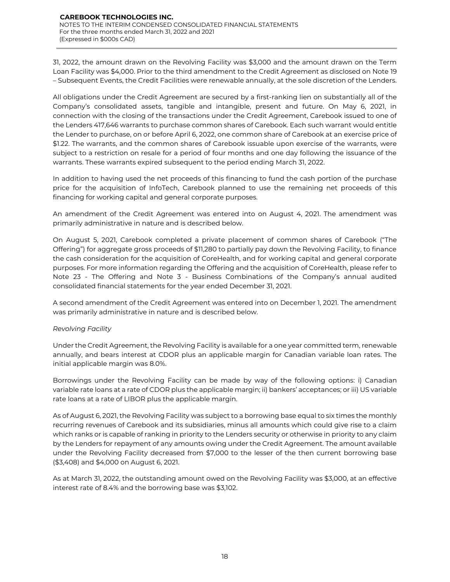31, 2022, the amount drawn on the Revolving Facility was \$3,000 and the amount drawn on the Term Loan Facility was \$4,000. Prior to the third amendment to the Credit Agreement as disclosed on Note 19 – Subsequent Events, the Credit Facilities were renewable annually, at the sole discretion of the Lenders.

All obligations under the Credit Agreement are secured by a first-ranking lien on substantially all of the Company's consolidated assets, tangible and intangible, present and future. On May 6, 2021, in connection with the closing of the transactions under the Credit Agreement, Carebook issued to one of the Lenders 417,646 warrants to purchase common shares of Carebook. Each such warrant would entitle the Lender to purchase, on or before April 6, 2022, one common share of Carebook at an exercise price of \$1.22. The warrants, and the common shares of Carebook issuable upon exercise of the warrants, were subject to a restriction on resale for a period of four months and one day following the issuance of the warrants. These warrants expired subsequent to the period ending March 31, 2022.

In addition to having used the net proceeds of this financing to fund the cash portion of the purchase price for the acquisition of InfoTech, Carebook planned to use the remaining net proceeds of this financing for working capital and general corporate purposes.

An amendment of the Credit Agreement was entered into on August 4, 2021. The amendment was primarily administrative in nature and is described below.

On August 5, 2021, Carebook completed a private placement of common shares of Carebook ("The Offering") for aggregate gross proceeds of \$11,280 to partially pay down the Revolving Facility, to finance the cash consideration for the acquisition of CoreHealth, and for working capital and general corporate purposes. For more information regarding the Offering and the acquisition of CoreHealth, please refer to Note 23 - The Offering and Note 3 - Business Combinations of the Company's annual audited consolidated financial statements for the year ended December 31, 2021.

A second amendment of the Credit Agreement was entered into on December 1, 2021. The amendment was primarily administrative in nature and is described below.

### *Revolving Facility*

Under the Credit Agreement, the Revolving Facility is available for a one year committed term, renewable annually, and bears interest at CDOR plus an applicable margin for Canadian variable loan rates. The initial applicable margin was 8.0%.

Borrowings under the Revolving Facility can be made by way of the following options: i) Canadian variable rate loans at a rate of CDOR plus the applicable margin; ii) bankers' acceptances; or iii) US variable rate loans at a rate of LIBOR plus the applicable margin.

As of August 6, 2021, the Revolving Facility was subject to a borrowing base equal to six times the monthly recurring revenues of Carebook and its subsidiaries, minus all amounts which could give rise to a claim which ranks or is capable of ranking in priority to the Lenders security or otherwise in priority to any claim by the Lenders for repayment of any amounts owing under the Credit Agreement. The amount available under the Revolving Facility decreased from \$7,000 to the lesser of the then current borrowing base (\$3,408) and \$4,000 on August 6, 2021.

As at March 31, 2022, the outstanding amount owed on the Revolving Facility was \$3,000, at an effective interest rate of 8.4% and the borrowing base was \$3,102.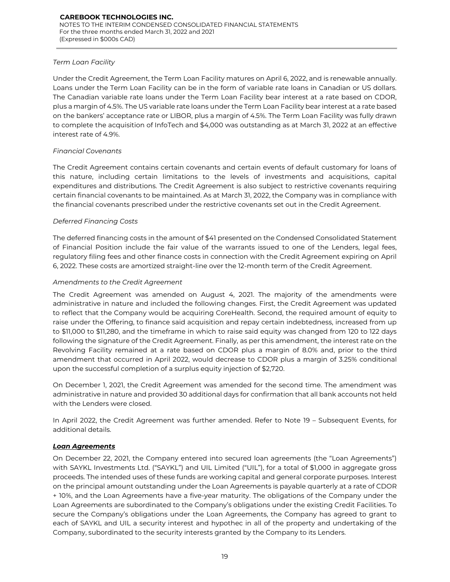### *Term Loan Facility*

Under the Credit Agreement, the Term Loan Facility matures on April 6, 2022, and is renewable annually. Loans under the Term Loan Facility can be in the form of variable rate loans in Canadian or US dollars. The Canadian variable rate loans under the Term Loan Facility bear interest at a rate based on CDOR, plus a margin of 4.5%. The US variable rate loans under the Term Loan Facility bear interest at a rate based on the bankers' acceptance rate or LIBOR, plus a margin of 4.5%. The Term Loan Facility was fully drawn to complete the acquisition of InfoTech and \$4,000 was outstanding as at March 31, 2022 at an effective interest rate of 4.9%.

### *Financial Covenants*

The Credit Agreement contains certain covenants and certain events of default customary for loans of this nature, including certain limitations to the levels of investments and acquisitions, capital expenditures and distributions. The Credit Agreement is also subject to restrictive covenants requiring certain financial covenants to be maintained. As at March 31, 2022, the Company was in compliance with the financial covenants prescribed under the restrictive covenants set out in the Credit Agreement.

### *Deferred Financing Costs*

The deferred financing costs in the amount of \$41 presented on the Condensed Consolidated Statement of Financial Position include the fair value of the warrants issued to one of the Lenders, legal fees, regulatory filing fees and other finance costs in connection with the Credit Agreement expiring on April 6, 2022. These costs are amortized straight-line over the 12-month term of the Credit Agreement.

### *Amendments to the Credit Agreement*

The Credit Agreement was amended on August 4, 2021. The majority of the amendments were administrative in nature and included the following changes. First, the Credit Agreement was updated to reflect that the Company would be acquiring CoreHealth. Second, the required amount of equity to raise under the Offering, to finance said acquisition and repay certain indebtedness, increased from up to \$11,000 to \$11,280, and the timeframe in which to raise said equity was changed from 120 to 122 days following the signature of the Credit Agreement. Finally, as per this amendment, the interest rate on the Revolving Facility remained at a rate based on CDOR plus a margin of 8.0% and, prior to the third amendment that occurred in April 2022, would decrease to CDOR plus a margin of 3.25% conditional upon the successful completion of a surplus equity injection of \$2,720.

On December 1, 2021, the Credit Agreement was amended for the second time. The amendment was administrative in nature and provided 30 additional days for confirmation that all bank accounts not held with the Lenders were closed.

In April 2022, the Credit Agreement was further amended. Refer to Note 19 – Subsequent Events, for additional details.

### *Loan Agreements*

On December 22, 2021, the Company entered into secured loan agreements (the "Loan Agreements") with SAYKL Investments Ltd. ("SAYKL") and UIL Limited ("UIL"), for a total of \$1,000 in aggregate gross proceeds. The intended uses of these funds are working capital and general corporate purposes. Interest on the principal amount outstanding under the Loan Agreements is payable quarterly at a rate of CDOR + 10%, and the Loan Agreements have a five-year maturity. The obligations of the Company under the Loan Agreements are subordinated to the Company's obligations under the existing Credit Facilities. To secure the Company's obligations under the Loan Agreements, the Company has agreed to grant to each of SAYKL and UIL a security interest and hypothec in all of the property and undertaking of the Company, subordinated to the security interests granted by the Company to its Lenders.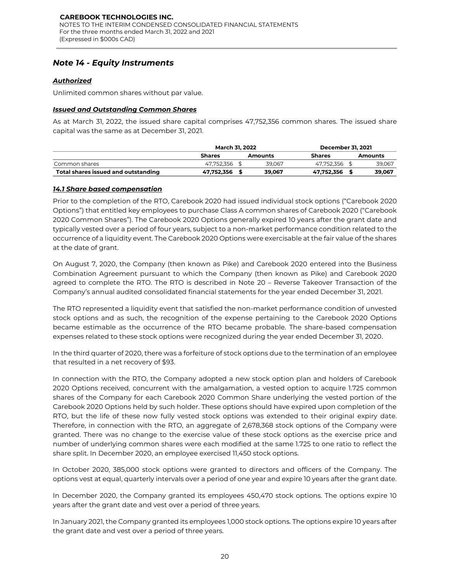# *Note 14 - Equity Instruments*

### *Authorized*

Unlimited common shares without par value.

### *Issued and Outstanding Common Shares*

As at March 31, 2022, the issued share capital comprises 47,752,356 common shares. The issued share capital was the same as at December 31, 2021.

|                                     | <b>March 31, 2022</b> |  | <b>December 31, 2021</b> |               |  |         |
|-------------------------------------|-----------------------|--|--------------------------|---------------|--|---------|
|                                     | <b>Shares</b>         |  | <b>Amounts</b>           | <b>Shares</b> |  | Amounts |
| Common shares                       | 47.752.356            |  | 39.067                   | 47.752.356    |  | 39,067  |
| Total shares issued and outstanding | 47.752.356            |  | 39.067                   | 47.752.356    |  | 39.067  |

### *14.1 Share based compensation*

Prior to the completion of the RTO, Carebook 2020 had issued individual stock options ("Carebook 2020 Options") that entitled key employees to purchase Class A common shares of Carebook 2020 ("Carebook 2020 Common Shares"). The Carebook 2020 Options generally expired 10 years after the grant date and typically vested over a period of four years, subject to a non-market performance condition related to the occurrence of a liquidity event. The Carebook 2020 Options were exercisable at the fair value of the shares at the date of grant.

On August 7, 2020, the Company (then known as Pike) and Carebook 2020 entered into the Business Combination Agreement pursuant to which the Company (then known as Pike) and Carebook 2020 agreed to complete the RTO. The RTO is described in Note 20 – Reverse Takeover Transaction of the Company's annual audited consolidated financial statements for the year ended December 31, 2021.

The RTO represented a liquidity event that satisfied the non-market performance condition of unvested stock options and as such, the recognition of the expense pertaining to the Carebook 2020 Options became estimable as the occurrence of the RTO became probable. The share-based compensation expenses related to these stock options were recognized during the year ended December 31, 2020.

In the third quarter of 2020, there was a forfeiture of stock options due to the termination of an employee that resulted in a net recovery of \$93.

In connection with the RTO, the Company adopted a new stock option plan and holders of Carebook 2020 Options received, concurrent with the amalgamation, a vested option to acquire 1.725 common shares of the Company for each Carebook 2020 Common Share underlying the vested portion of the Carebook 2020 Options held by such holder. These options should have expired upon completion of the RTO, but the life of these now fully vested stock options was extended to their original expiry date. Therefore, in connection with the RTO, an aggregate of 2,678,368 stock options of the Company were granted. There was no change to the exercise value of these stock options as the exercise price and number of underlying common shares were each modified at the same 1.725 to one ratio to reflect the share split. In December 2020, an employee exercised 11,450 stock options.

In October 2020, 385,000 stock options were granted to directors and officers of the Company. The options vest at equal, quarterly intervals over a period of one year and expire 10 years after the grant date.

In December 2020, the Company granted its employees 450,470 stock options. The options expire 10 years after the grant date and vest over a period of three years.

In January 2021, the Company granted its employees 1,000 stock options. The options expire 10 years after the grant date and vest over a period of three years.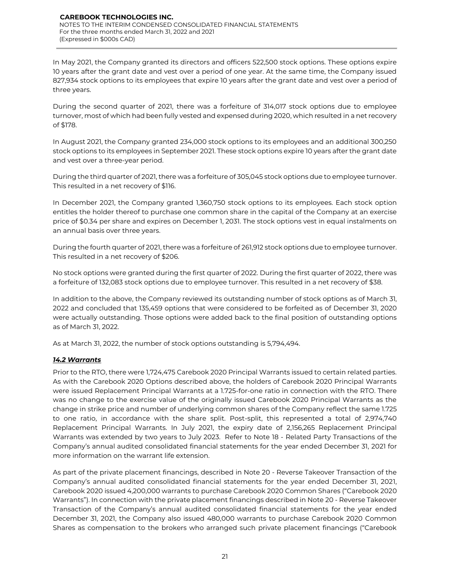In May 2021, the Company granted its directors and officers 522,500 stock options. These options expire 10 years after the grant date and vest over a period of one year. At the same time, the Company issued 827,934 stock options to its employees that expire 10 years after the grant date and vest over a period of three years.

During the second quarter of 2021, there was a forfeiture of 314,017 stock options due to employee turnover, most of which had been fully vested and expensed during 2020, which resulted in a net recovery of \$178.

In August 2021, the Company granted 234,000 stock options to its employees and an additional 300,250 stock options to its employees in September 2021. These stock options expire 10 years after the grant date and vest over a three-year period.

During the third quarter of 2021, there was a forfeiture of 305,045 stock options due to employee turnover. This resulted in a net recovery of \$116.

In December 2021, the Company granted 1,360,750 stock options to its employees. Each stock option entitles the holder thereof to purchase one common share in the capital of the Company at an exercise price of \$0.34 per share and expires on December 1, 2031. The stock options vest in equal instalments on an annual basis over three years.

During the fourth quarter of 2021, there was a forfeiture of 261,912 stock options due to employee turnover. This resulted in a net recovery of \$206.

No stock options were granted during the first quarter of 2022. During the first quarter of 2022, there was a forfeiture of 132,083 stock options due to employee turnover. This resulted in a net recovery of \$38.

In addition to the above, the Company reviewed its outstanding number of stock options as of March 31, 2022 and concluded that 135,459 options that were considered to be forfeited as of December 31, 2020 were actually outstanding. Those options were added back to the final position of outstanding options as of March 31, 2022.

As at March 31, 2022, the number of stock options outstanding is 5,794,494.

### *14.2 Warrants*

Prior to the RTO, there were 1,724,475 Carebook 2020 Principal Warrants issued to certain related parties. As with the Carebook 2020 Options described above, the holders of Carebook 2020 Principal Warrants were issued Replacement Principal Warrants at a 1.725-for-one ratio in connection with the RTO. There was no change to the exercise value of the originally issued Carebook 2020 Principal Warrants as the change in strike price and number of underlying common shares of the Company reflect the same 1.725 to one ratio, in accordance with the share split. Post-split, this represented a total of 2,974,740 Replacement Principal Warrants. In July 2021, the expiry date of 2,156,265 Replacement Principal Warrants was extended by two years to July 2023. Refer to Note 18 - Related Party Transactions of the Company's annual audited consolidated financial statements for the year ended December 31, 2021 for more information on the warrant life extension.

As part of the private placement financings, described in Note 20 - Reverse Takeover Transaction of the Company's annual audited consolidated financial statements for the year ended December 31, 2021, Carebook 2020 issued 4,200,000 warrants to purchase Carebook 2020 Common Shares ("Carebook 2020 Warrants"). In connection with the private placement financings described in Note 20 - Reverse Takeover Transaction of the Company's annual audited consolidated financial statements for the year ended December 31, 2021, the Company also issued 480,000 warrants to purchase Carebook 2020 Common Shares as compensation to the brokers who arranged such private placement financings ("Carebook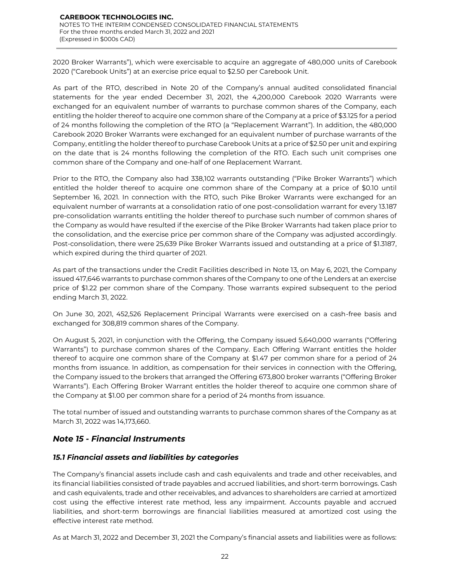2020 Broker Warrants"), which were exercisable to acquire an aggregate of 480,000 units of Carebook 2020 ("Carebook Units") at an exercise price equal to \$2.50 per Carebook Unit.

As part of the RTO, described in Note 20 of the Company's annual audited consolidated financial statements for the year ended December 31, 2021, the 4,200,000 Carebook 2020 Warrants were exchanged for an equivalent number of warrants to purchase common shares of the Company, each entitling the holder thereof to acquire one common share of the Company at a price of \$3.125 for a period of 24 months following the completion of the RTO (a "Replacement Warrant"). In addition, the 480,000 Carebook 2020 Broker Warrants were exchanged for an equivalent number of purchase warrants of the Company, entitling the holder thereof to purchase Carebook Units at a price of \$2.50 per unit and expiring on the date that is 24 months following the completion of the RTO. Each such unit comprises one common share of the Company and one-half of one Replacement Warrant.

Prior to the RTO, the Company also had 338,102 warrants outstanding ("Pike Broker Warrants") which entitled the holder thereof to acquire one common share of the Company at a price of \$0.10 until September 16, 2021. In connection with the RTO, such Pike Broker Warrants were exchanged for an equivalent number of warrants at a consolidation ratio of one post-consolidation warrant for every 13.187 pre-consolidation warrants entitling the holder thereof to purchase such number of common shares of the Company as would have resulted if the exercise of the Pike Broker Warrants had taken place prior to the consolidation, and the exercise price per common share of the Company was adjusted accordingly. Post-consolidation, there were 25,639 Pike Broker Warrants issued and outstanding at a price of \$1.3187, which expired during the third quarter of 2021.

As part of the transactions under the Credit Facilities described in Note 13, on May 6, 2021, the Company issued 417,646 warrants to purchase common shares of the Company to one of the Lenders at an exercise price of \$1.22 per common share of the Company. Those warrants expired subsequent to the period ending March 31, 2022.

On June 30, 2021, 452,526 Replacement Principal Warrants were exercised on a cash-free basis and exchanged for 308,819 common shares of the Company.

On August 5, 2021, in conjunction with the Offering, the Company issued 5,640,000 warrants ("Offering Warrants") to purchase common shares of the Company. Each Offering Warrant entitles the holder thereof to acquire one common share of the Company at \$1.47 per common share for a period of 24 months from issuance. In addition, as compensation for their services in connection with the Offering, the Company issued to the brokers that arranged the Offering 673,800 broker warrants ("Offering Broker Warrants"). Each Offering Broker Warrant entitles the holder thereof to acquire one common share of the Company at \$1.00 per common share for a period of 24 months from issuance.

The total number of issued and outstanding warrants to purchase common shares of the Company as at March 31, 2022 was 14,173,660.

# *Note 15 - Financial Instruments*

### *15.1 Financial assets and liabilities by categories*

The Company's financial assets include cash and cash equivalents and trade and other receivables, and its financial liabilities consisted of trade payables and accrued liabilities, and short-term borrowings. Cash and cash equivalents, trade and other receivables, and advances to shareholders are carried at amortized cost using the effective interest rate method, less any impairment. Accounts payable and accrued liabilities, and short-term borrowings are financial liabilities measured at amortized cost using the effective interest rate method.

As at March 31, 2022 and December 31, 2021 the Company's financial assets and liabilities were as follows: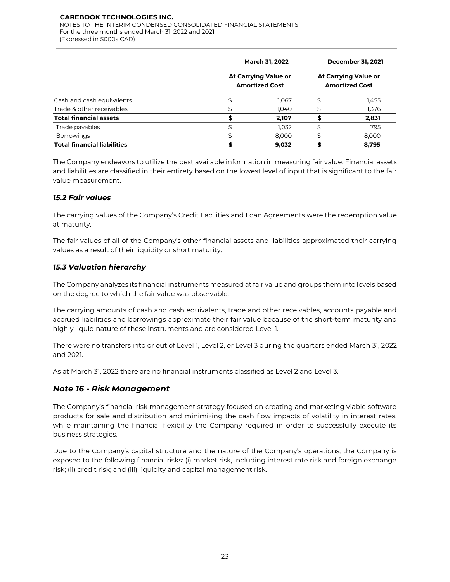NOTES TO THE INTERIM CONDENSED CONSOLIDATED FINANCIAL STATEMENTS For the three months ended March 31, 2022 and 2021 (Expressed in \$000s CAD)

|                                    | <b>March 31, 2022</b>                                |       | <b>December 31, 2021</b><br><b>At Carrying Value or</b><br><b>Amortized Cost</b> |       |  |
|------------------------------------|------------------------------------------------------|-------|----------------------------------------------------------------------------------|-------|--|
| Cash and cash equivalents          | <b>At Carrying Value or</b><br><b>Amortized Cost</b> |       |                                                                                  |       |  |
|                                    |                                                      | 1,067 | \$                                                                               | 1,455 |  |
| Trade & other receivables          | \$                                                   | 1,040 |                                                                                  | 1,376 |  |
| <b>Total financial assets</b>      |                                                      | 2,107 |                                                                                  | 2,831 |  |
| Trade payables                     | \$                                                   | 1.032 | \$                                                                               | 795   |  |
| <b>Borrowings</b>                  | \$                                                   | 8,000 | \$                                                                               | 8,000 |  |
| <b>Total financial liabilities</b> |                                                      | 9,032 |                                                                                  | 8.795 |  |

The Company endeavors to utilize the best available information in measuring fair value. Financial assets and liabilities are classified in their entirety based on the lowest level of input that is significant to the fair value measurement.

### *15.2 Fair values*

The carrying values of the Company's Credit Facilities and Loan Agreements were the redemption value at maturity.

The fair values of all of the Company's other financial assets and liabilities approximated their carrying values as a result of their liquidity or short maturity.

# *15.3 Valuation hierarchy*

The Company analyzes its financial instruments measured at fair value and groups them into levels based on the degree to which the fair value was observable.

The carrying amounts of cash and cash equivalents, trade and other receivables, accounts payable and accrued liabilities and borrowings approximate their fair value because of the short-term maturity and highly liquid nature of these instruments and are considered Level 1.

There were no transfers into or out of Level 1, Level 2, or Level 3 during the quarters ended March 31, 2022 and 2021.

As at March 31, 2022 there are no financial instruments classified as Level 2 and Level 3.

### *Note 16 - Risk Management*

The Company's financial risk management strategy focused on creating and marketing viable software products for sale and distribution and minimizing the cash flow impacts of volatility in interest rates, while maintaining the financial flexibility the Company required in order to successfully execute its business strategies.

Due to the Company's capital structure and the nature of the Company's operations, the Company is exposed to the following financial risks: (i) market risk, including interest rate risk and foreign exchange risk; (ii) credit risk; and (iii) liquidity and capital management risk.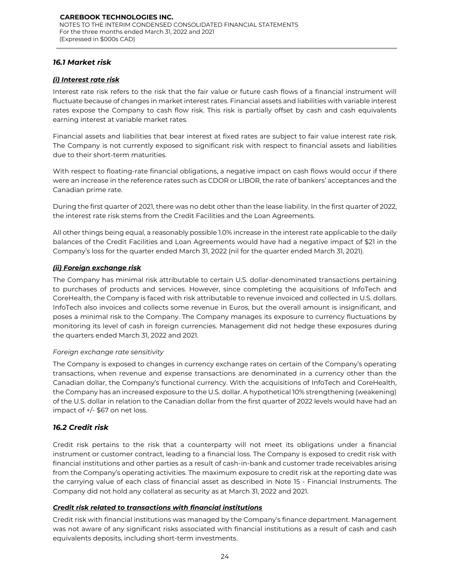### *16.1 Market risk*

### *(i) Interest rate risk*

Interest rate risk refers to the risk that the fair value or future cash flows of a financial instrument will fluctuate because of changes in market interest rates. Financial assets and liabilities with variable interest rates expose the Company to cash flow risk. This risk is partially offset by cash and cash equivalents earning interest at variable market rates.

Financial assets and liabilities that bear interest at fixed rates are subject to fair value interest rate risk. The Company is not currently exposed to significant risk with respect to financial assets and liabilities due to their short-term maturities.

With respect to floating-rate financial obligations, a negative impact on cash flows would occur if there were an increase in the reference rates such as CDOR or LIBOR, the rate of bankers' acceptances and the Canadian prime rate.

During the first quarter of 2021, there was no debt other than the lease liability. In the first quarter of 2022, the interest rate risk stems from the Credit Facilities and the Loan Agreements.

All other things being equal, a reasonably possible 1.0% increase in the interest rate applicable to the daily balances of the Credit Facilities and Loan Agreements would have had a negative impact of \$21 in the Company's loss for the quarter ended March 31, 2022 (nil for the quarter ended March 31, 2021).

### *(ii) Foreign exchange risk*

The Company has minimal risk attributable to certain U.S. dollar-denominated transactions pertaining to purchases of products and services. However, since completing the acquisitions of InfoTech and CoreHealth, the Company is faced with risk attributable to revenue invoiced and collected in U.S. dollars. InfoTech also invoices and collects some revenue in Euros, but the overall amount is insignificant, and poses a minimal risk to the Company. The Company manages its exposure to currency fluctuations by monitoring its level of cash in foreign currencies. Management did not hedge these exposures during the quarters ended March 31, 2022 and 2021.

### *Foreign exchange rate sensitivity*

The Company is exposed to changes in currency exchange rates on certain of the Company's operating transactions, when revenue and expense transactions are denominated in a currency other than the Canadian dollar, the Company's functional currency. With the acquisitions of InfoTech and CoreHealth, the Company has an increased exposure to the U.S. dollar. A hypothetical 10% strengthening (weakening) of the U.S. dollar in relation to the Canadian dollar from the first quarter of 2022 levels would have had an impact of +/- \$67 on net loss.

### *16.2 Credit risk*

Credit risk pertains to the risk that a counterparty will not meet its obligations under a financial instrument or customer contract, leading to a financial loss. The Company is exposed to credit risk with financial institutions and other parties as a result of cash-in-bank and customer trade receivables arising from the Company's operating activities. The maximum exposure to credit risk at the reporting date was the carrying value of each class of financial asset as described in Note 15 - Financial Instruments. The Company did not hold any collateral as security as at March 31, 2022 and 2021.

### *Credit risk related to transactions with financial institutions*

Credit risk with financial institutions was managed by the Company's finance department. Management was not aware of any significant risks associated with financial institutions as a result of cash and cash equivalents deposits, including short-term investments.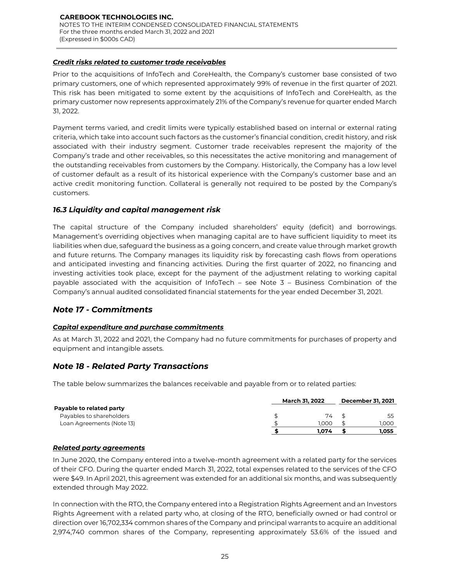### *Credit risks related to customer trade receivables*

Prior to the acquisitions of InfoTech and CoreHealth, the Company's customer base consisted of two primary customers, one of which represented approximately 99% of revenue in the first quarter of 2021. This risk has been mitigated to some extent by the acquisitions of InfoTech and CoreHealth, as the primary customer now represents approximately 21% of the Company's revenue for quarter ended March 31, 2022.

Payment terms varied, and credit limits were typically established based on internal or external rating criteria, which take into account such factors as the customer's financial condition, credit history, and risk associated with their industry segment. Customer trade receivables represent the majority of the Company's trade and other receivables, so this necessitates the active monitoring and management of the outstanding receivables from customers by the Company. Historically, the Company has a low level of customer default as a result of its historical experience with the Company's customer base and an active credit monitoring function. Collateral is generally not required to be posted by the Company's customers.

# *16.3 Liquidity and capital management risk*

The capital structure of the Company included shareholders' equity (deficit) and borrowings. Management's overriding objectives when managing capital are to have sufficient liquidity to meet its liabilities when due, safeguard the business as a going concern, and create value through market growth and future returns. The Company manages its liquidity risk by forecasting cash flows from operations and anticipated investing and financing activities. During the first quarter of 2022, no financing and investing activities took place, except for the payment of the adjustment relating to working capital payable associated with the acquisition of InfoTech – see Note 3 – Business Combination of the Company's annual audited consolidated financial statements for the year ended December 31, 2021.

# *Note 17 - Commitments*

### *Capital expenditure and purchase commitments*

As at March 31, 2022 and 2021, the Company had no future commitments for purchases of property and equipment and intangible assets.

# *Note 18 - Related Party Transactions*

The table below summarizes the balances receivable and payable from or to related parties:

|                                                                                                                                                                                                                                                                                                                                                                                                                         | <b>March 31, 2022</b> |  | <b>December 31, 2021</b> |  |
|-------------------------------------------------------------------------------------------------------------------------------------------------------------------------------------------------------------------------------------------------------------------------------------------------------------------------------------------------------------------------------------------------------------------------|-----------------------|--|--------------------------|--|
| Payable to related party                                                                                                                                                                                                                                                                                                                                                                                                |                       |  |                          |  |
| Payables to shareholders                                                                                                                                                                                                                                                                                                                                                                                                | \$<br>74              |  | 55                       |  |
| Loan Agreements (Note 13)                                                                                                                                                                                                                                                                                                                                                                                               | 1.000                 |  | 1,000                    |  |
|                                                                                                                                                                                                                                                                                                                                                                                                                         | 1,074                 |  | 1,055                    |  |
| <b>Related party agreements</b>                                                                                                                                                                                                                                                                                                                                                                                         |                       |  |                          |  |
| In June 2020, the Company entered into a twelve-month agreement with a related party for the services<br>of their CFO. During the quarter ended March 31, 2022, total expenses related to the services of the CFO<br>were \$49. In April 2021, this agreement was extended for an additional six months, and was subsequently<br>extended through May 2022.                                                             |                       |  |                          |  |
| In connection with the RTO, the Company entered into a Registration Rights Agreement and an Investors<br>Rights Agreement with a related party who, at closing of the RTO, beneficially owned or had control or<br>direction over 16,702,334 common shares of the Company and principal warrants to acquire an additional<br>2,974,740 common shares of the Company, representing approximately 53.6% of the issued and |                       |  |                          |  |

### *Related party agreements*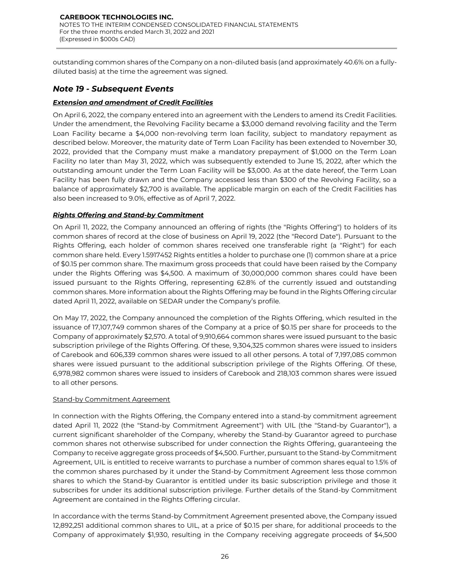outstanding common shares of the Company on a non-diluted basis (and approximately 40.6% on a fullydiluted basis) at the time the agreement was signed.

# *Note 19 - Subsequent Events*

### *Extension and amendment of Credit Facilities*

On April 6, 2022, the company entered into an agreement with the Lenders to amend its Credit Facilities. Under the amendment, the Revolving Facility became a \$3,000 demand revolving facility and the Term Loan Facility became a \$4,000 non-revolving term loan facility, subject to mandatory repayment as described below. Moreover, the maturity date of Term Loan Facility has been extended to November 30, 2022, provided that the Company must make a mandatory prepayment of \$1,000 on the Term Loan Facility no later than May 31, 2022, which was subsequently extended to June 15, 2022, after which the outstanding amount under the Term Loan Facility will be \$3,000. As at the date hereof, the Term Loan Facility has been fully drawn and the Company accessed less than \$300 of the Revolving Facility, so a balance of approximately \$2,700 is available. The applicable margin on each of the Credit Facilities has also been increased to 9.0%, effective as of April 7, 2022.

### *Rights Offering and Stand-by Commitment*

On April 11, 2022, the Company announced an offering of rights (the "Rights Offering") to holders of its common shares of record at the close of business on April 19, 2022 (the "Record Date"). Pursuant to the Rights Offering, each holder of common shares received one transferable right (a "Right") for each common share held. Every 1.5917452 Rights entitles a holder to purchase one (1) common share at a price of \$0.15 per common share. The maximum gross proceeds that could have been raised by the Company under the Rights Offering was \$4,500. A maximum of 30,000,000 common shares could have been issued pursuant to the Rights Offering, representing 62.8% of the currently issued and outstanding common shares. More information about the Rights Offering may be found in the Rights Offering circular dated April 11, 2022, available on SEDAR under the Company's profile.

On May 17, 2022, the Company announced the completion of the Rights Offering, which resulted in the issuance of 17,107,749 common shares of the Company at a price of \$0.15 per share for proceeds to the Company of approximately \$2,570. A total of 9,910,664 common shares were issued pursuant to the basic subscription privilege of the Rights Offering. Of these, 9,304,325 common shares were issued to insiders of Carebook and 606,339 common shares were issued to all other persons. A total of 7,197,085 common shares were issued pursuant to the additional subscription privilege of the Rights Offering. Of these, 6,978,982 common shares were issued to insiders of Carebook and 218,103 common shares were issued to all other persons.

### Stand-by Commitment Agreement

In connection with the Rights Offering, the Company entered into a stand-by commitment agreement dated April 11, 2022 (the "Stand-by Commitment Agreement") with UIL (the "Stand-by Guarantor"), a current significant shareholder of the Company, whereby the Stand-by Guarantor agreed to purchase common shares not otherwise subscribed for under connection the Rights Offering, guaranteeing the Company to receive aggregate gross proceeds of \$4,500. Further, pursuant to the Stand-by Commitment Agreement, UIL is entitled to receive warrants to purchase a number of common shares equal to 1.5% of the common shares purchased by it under the Stand-by Commitment Agreement less those common shares to which the Stand-by Guarantor is entitled under its basic subscription privilege and those it subscribes for under its additional subscription privilege. Further details of the Stand-by Commitment Agreement are contained in the Rights Offering circular.

In accordance with the terms Stand-by Commitment Agreement presented above, the Company issued 12,892,251 additional common shares to UIL, at a price of \$0.15 per share, for additional proceeds to the Company of approximately \$1,930, resulting in the Company receiving aggregate proceeds of \$4,500